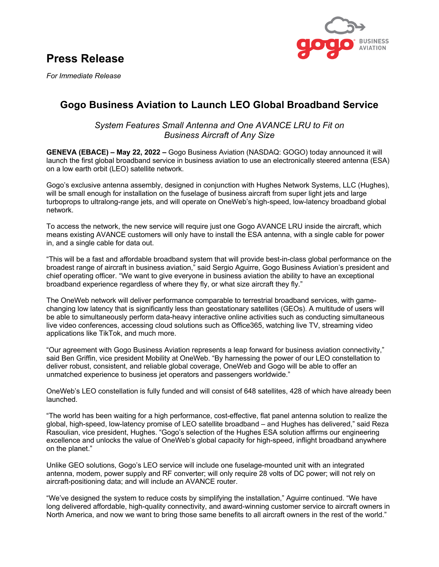# **Press Release**



*For Immediate Release*

## **Gogo Business Aviation to Launch LEO Global Broadband Service**

*System Features Small Antenna and One AVANCE LRU to Fit on Business Aircraft of Any Size*

**GENEVA (EBACE) – May 22, 2022 –** Gogo Business Aviation (NASDAQ: GOGO) today announced it will launch the first global broadband service in business aviation to use an electronically steered antenna (ESA) on a low earth orbit (LEO) satellite network.

Gogo's exclusive antenna assembly, designed in conjunction with Hughes Network Systems, LLC (Hughes), will be small enough for installation on the fuselage of business aircraft from super light jets and large turboprops to ultralong-range jets, and will operate on OneWeb's high-speed, low-latency broadband global network.

To access the network, the new service will require just one Gogo AVANCE LRU inside the aircraft, which means existing AVANCE customers will only have to install the ESA antenna, with a single cable for power in, and a single cable for data out.

"This will be a fast and affordable broadband system that will provide best-in-class global performance on the broadest range of aircraft in business aviation," said Sergio Aguirre, Gogo Business Aviation's president and chief operating officer. "We want to give everyone in business aviation the ability to have an exceptional broadband experience regardless of where they fly, or what size aircraft they fly."

The OneWeb network will deliver performance comparable to terrestrial broadband services, with gamechanging low latency that is significantly less than geostationary satellites (GEOs). A multitude of users will be able to simultaneously perform data-heavy interactive online activities such as conducting simultaneous live video conferences, accessing cloud solutions such as Office365, watching live TV, streaming video applications like TikTok, and much more.

"Our agreement with Gogo Business Aviation represents a leap forward for business aviation connectivity," said Ben Griffin, vice president Mobility at OneWeb. "By harnessing the power of our LEO constellation to deliver robust, consistent, and reliable global coverage, OneWeb and Gogo will be able to offer an unmatched experience to business jet operators and passengers worldwide."

OneWeb's LEO constellation is fully funded and will consist of 648 satellites, 428 of which have already been launched.

"The world has been waiting for a high performance, cost-effective, flat panel antenna solution to realize the global, high-speed, low-latency promise of LEO satellite broadband – and Hughes has delivered," said Reza Rasoulian, vice president, Hughes. "Gogo's selection of the Hughes ESA solution affirms our engineering excellence and unlocks the value of OneWeb's global capacity for high-speed, inflight broadband anywhere on the planet."

Unlike GEO solutions, Gogo's LEO service will include one fuselage-mounted unit with an integrated antenna, modem, power supply and RF converter; will only require 28 volts of DC power; will not rely on aircraft-positioning data; and will include an AVANCE router.

"We've designed the system to reduce costs by simplifying the installation," Aguirre continued. "We have long delivered affordable, high-quality connectivity, and award-winning customer service to aircraft owners in North America, and now we want to bring those same benefits to all aircraft owners in the rest of the world."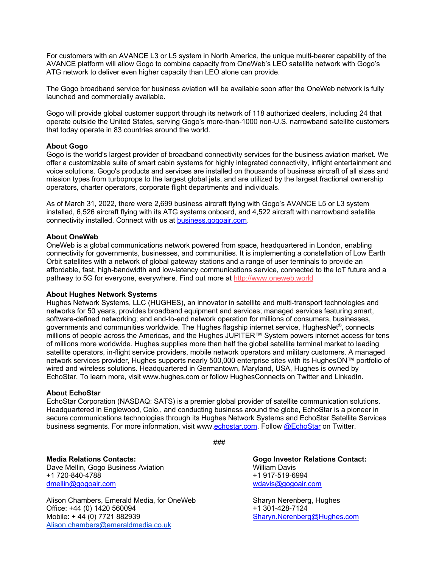For customers with an AVANCE L3 or L5 system in North America, the unique multi-bearer capability of the AVANCE platform will allow Gogo to combine capacity from OneWeb's LEO satellite network with Gogo's ATG network to deliver even higher capacity than LEO alone can provide.

The Gogo broadband service for business aviation will be available soon after the OneWeb network is fully launched and commercially available.

Gogo will provide global customer support through its network of 118 authorized dealers, including 24 that operate outside the United States, serving Gogo's more-than-1000 non-U.S. narrowband satellite customers that today operate in 83 countries around the world.

### **About Gogo**

Gogo is the world's largest provider of broadband connectivity services for the business aviation market. We offer a customizable suite of smart cabin systems for highly integrated connectivity, inflight entertainment and voice solutions. Gogo's products and services are installed on thousands of business aircraft of all sizes and mission types from turboprops to the largest global jets, and are utilized by the largest fractional ownership operators, charter operators, corporate flight departments and individuals.

As of March 31, 2022, there were 2,699 business aircraft flying with Gogo's AVANCE L5 or L3 system installed, 6,526 aircraft flying with its ATG systems onboard, and 4,522 aircraft with narrowband satellite connectivity installed. Connect with us at business.gogoair.com.

#### **About OneWeb**

OneWeb is a global communications network powered from space, headquartered in London, enabling connectivity for governments, businesses, and communities. It is implementing a constellation of Low Earth Orbit satellites with a network of global gateway stations and a range of user terminals to provide an affordable, fast, high-bandwidth and low-latency communications service, connected to the IoT future and a pathway to 5G for everyone, everywhere. Find out more at http://www.oneweb.world

#### **About Hughes Network Systems**

Hughes Network Systems, LLC (HUGHES), an innovator in satellite and multi-transport technologies and networks for 50 years, provides broadband equipment and services; managed services featuring smart, software-defined networking; and end-to-end network operation for millions of consumers, businesses, governments and communities worldwide. The Hughes flagship internet service, HughesNet®, connects millions of people across the Americas, and the Hughes JUPITER™ System powers internet access for tens of millions more worldwide. Hughes supplies more than half the global satellite terminal market to leading satellite operators, in-flight service providers, mobile network operators and military customers. A managed network services provider, Hughes supports nearly 500,000 enterprise sites with its HughesON™ portfolio of wired and wireless solutions. Headquartered in Germantown, Maryland, USA, Hughes is owned by EchoStar. To learn more, visit www.hughes.com or follow HughesConnects on Twitter and LinkedIn.

#### **About EchoStar**

EchoStar Corporation (NASDAQ: SATS) is a premier global provider of satellite communication solutions. Headquartered in Englewood, Colo., and conducting business around the globe, EchoStar is a pioneer in secure communications technologies through its Hughes Network Systems and EchoStar Satellite Services business segments. For more information, visit www.echostar.com. Follow @EchoStar on Twitter.

###

**Media Relations Contacts: Gogo Investor Relations Contact:** Dave Mellin, Gogo Business Aviation Multimedia and Multimedia Davis +1 720-840-4788 +1 917-519-6994 dmellin@gogoair.com wdavis@gogoair.com

Alison Chambers, Emerald Media, for OneWeb Sharyn Nerenberg, Hughes Office: +44 (0) 1420 560094 +1 301-428-7124 Alison.chambers@emeraldmedia.co.uk

Sharyn.Nerenberg@Hughes.com